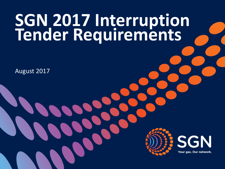# **SGN 2017 Interruption Tender Requirements**

August 2017



**SGN** Your gas. Our network.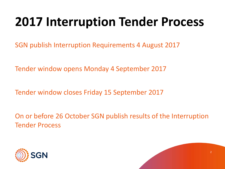## **2017 Interruption Tender Process**

SGN publish Interruption Requirements 4 August 2017

Tender window opens Monday 4 September 2017

Tender window closes Friday 15 September 2017

On or before 26 October SGN publish results of the Interruption Tender Process



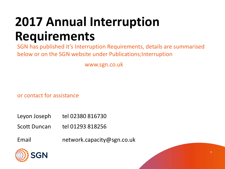## **2017 Annual Interruption Requirements**

SGN has published it's Interruption Requirements, details are summarised below or on the SGN website under Publications;Interruption

www.sgn.co.uk

or contact for assistance

- Leyon Joseph tel  $02380816730$
- Scott Duncan tel 01293 818256
- Email network.capacity@sgn.co.uk



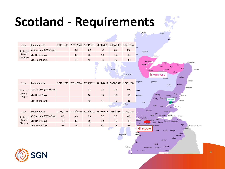## **Scotland - Requirements**



Thurso

4